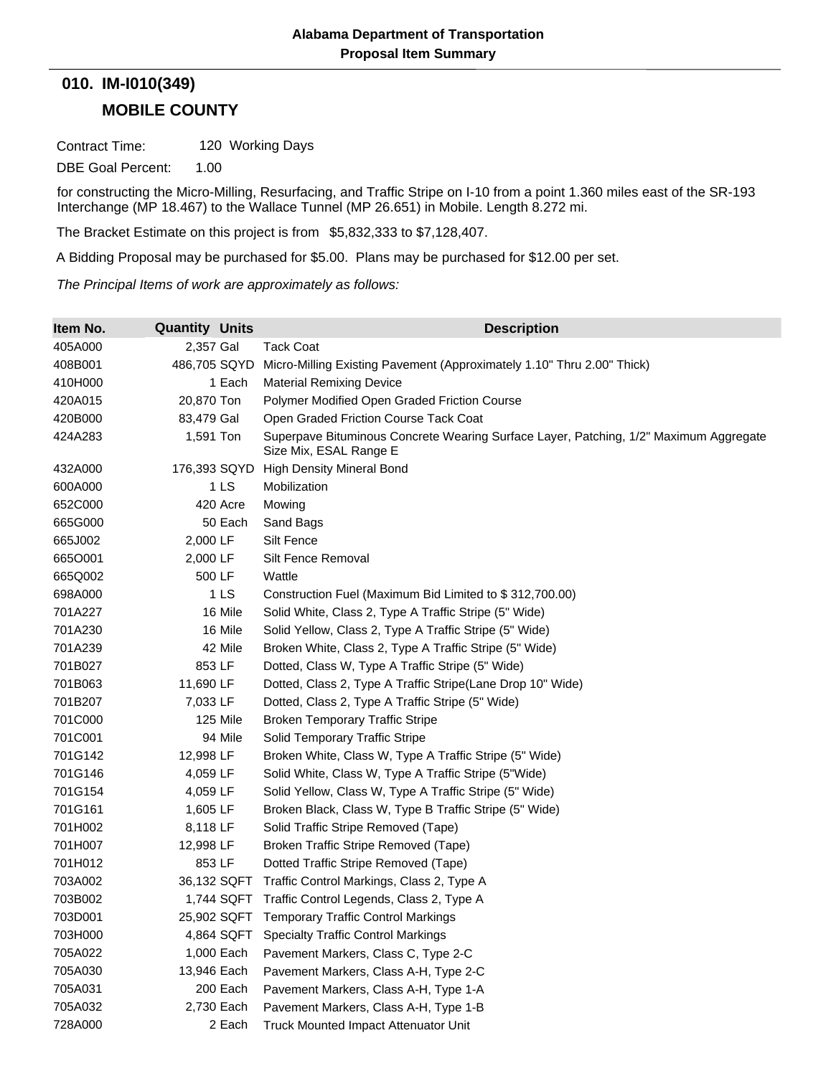## **MOBILE COUNTY 010. IM-I010(349)**

Contract Time: 120 Working Days

DBE Goal Percent: 1.00

for constructing the Micro-Milling, Resurfacing, and Traffic Stripe on I-10 from a point 1.360 miles east of the SR-193 Interchange (MP 18.467) to the Wallace Tunnel (MP 26.651) in Mobile. Length 8.272 mi.

The Bracket Estimate on this project is from \$5,832,333 to \$7,128,407.

A Bidding Proposal may be purchased for \$5.00. Plans may be purchased for \$12.00 per set.

*The Principal Items of work are approximately as follows:*

| Item No. | <b>Quantity Units</b> | <b>Description</b>                                                                                              |
|----------|-----------------------|-----------------------------------------------------------------------------------------------------------------|
| 405A000  | 2,357 Gal             | <b>Tack Coat</b>                                                                                                |
| 408B001  | 486,705 SQYD          | Micro-Milling Existing Pavement (Approximately 1.10" Thru 2.00" Thick)                                          |
| 410H000  | 1 Each                | <b>Material Remixing Device</b>                                                                                 |
| 420A015  | 20,870 Ton            | Polymer Modified Open Graded Friction Course                                                                    |
| 420B000  | 83,479 Gal            | Open Graded Friction Course Tack Coat                                                                           |
| 424A283  | 1,591 Ton             | Superpave Bituminous Concrete Wearing Surface Layer, Patching, 1/2" Maximum Aggregate<br>Size Mix, ESAL Range E |
| 432A000  | 176,393 SQYD          | <b>High Density Mineral Bond</b>                                                                                |
| 600A000  | 1 LS                  | Mobilization                                                                                                    |
| 652C000  | 420 Acre              | Mowing                                                                                                          |
| 665G000  | 50 Each               | Sand Bags                                                                                                       |
| 665J002  | 2,000 LF              | Silt Fence                                                                                                      |
| 665O001  | 2,000 LF              | Silt Fence Removal                                                                                              |
| 665Q002  | 500 LF                | Wattle                                                                                                          |
| 698A000  | 1 LS                  | Construction Fuel (Maximum Bid Limited to \$312,700.00)                                                         |
| 701A227  | 16 Mile               | Solid White, Class 2, Type A Traffic Stripe (5" Wide)                                                           |
| 701A230  | 16 Mile               | Solid Yellow, Class 2, Type A Traffic Stripe (5" Wide)                                                          |
| 701A239  | 42 Mile               | Broken White, Class 2, Type A Traffic Stripe (5" Wide)                                                          |
| 701B027  | 853 LF                | Dotted, Class W, Type A Traffic Stripe (5" Wide)                                                                |
| 701B063  | 11,690 LF             | Dotted, Class 2, Type A Traffic Stripe(Lane Drop 10" Wide)                                                      |
| 701B207  | 7,033 LF              | Dotted, Class 2, Type A Traffic Stripe (5" Wide)                                                                |
| 701C000  | 125 Mile              | <b>Broken Temporary Traffic Stripe</b>                                                                          |
| 701C001  | 94 Mile               | Solid Temporary Traffic Stripe                                                                                  |
| 701G142  | 12,998 LF             | Broken White, Class W, Type A Traffic Stripe (5" Wide)                                                          |
| 701G146  | 4,059 LF              | Solid White, Class W, Type A Traffic Stripe (5"Wide)                                                            |
| 701G154  | 4,059 LF              | Solid Yellow, Class W, Type A Traffic Stripe (5" Wide)                                                          |
| 701G161  | 1,605 LF              | Broken Black, Class W, Type B Traffic Stripe (5" Wide)                                                          |
| 701H002  | 8,118 LF              | Solid Traffic Stripe Removed (Tape)                                                                             |
| 701H007  | 12,998 LF             | Broken Traffic Stripe Removed (Tape)                                                                            |
| 701H012  | 853 LF                | Dotted Traffic Stripe Removed (Tape)                                                                            |
| 703A002  | 36,132 SQFT           | Traffic Control Markings, Class 2, Type A                                                                       |
| 703B002  | 1,744 SQFT            | Traffic Control Legends, Class 2, Type A                                                                        |
| 703D001  |                       | 25,902 SQFT Temporary Traffic Control Markings                                                                  |
| 703H000  | 4,864 SQFT            | <b>Specialty Traffic Control Markings</b>                                                                       |
| 705A022  | 1,000 Each            | Pavement Markers, Class C, Type 2-C                                                                             |
| 705A030  | 13,946 Each           | Pavement Markers, Class A-H, Type 2-C                                                                           |
| 705A031  | 200 Each              | Pavement Markers, Class A-H, Type 1-A                                                                           |
| 705A032  | 2,730 Each            | Pavement Markers, Class A-H, Type 1-B                                                                           |
| 728A000  | 2 Each                | Truck Mounted Impact Attenuator Unit                                                                            |